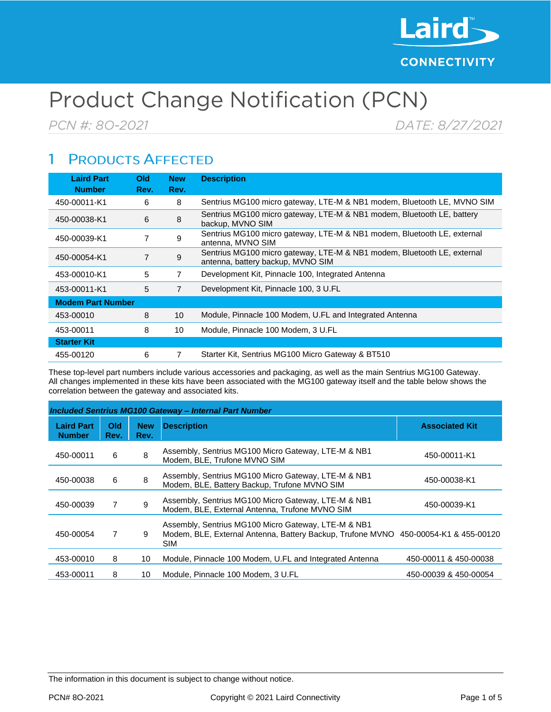

# Product Change Notification (PCN)

PCN #: 80-2021

DATE: 8/27/2021

### **PRODUCTS AFFECTED** 1

| <b>Laird Part</b><br><b>Number</b> | <b>Old</b><br>Rev. | <b>New</b><br>Rev. | <b>Description</b>                                                                                           |  |  |  |
|------------------------------------|--------------------|--------------------|--------------------------------------------------------------------------------------------------------------|--|--|--|
| 450-00011-K1                       | 6                  | 8                  | Sentrius MG100 micro gateway, LTE-M & NB1 modem, Bluetooth LE, MVNO SIM                                      |  |  |  |
| 450-00038-K1                       | 6                  | 8                  | Sentrius MG100 micro gateway, LTE-M & NB1 modem, Bluetooth LE, battery<br>backup. MVNO SIM                   |  |  |  |
| 450-00039-K1                       | 7                  | 9                  | Sentrius MG100 micro gateway, LTE-M & NB1 modem, Bluetooth LE, external<br>antenna, MVNO SIM                 |  |  |  |
| 450-00054-K1                       | 7                  | 9                  | Sentrius MG100 micro gateway, LTE-M & NB1 modem, Bluetooth LE, external<br>antenna, battery backup, MVNO SIM |  |  |  |
| 453-00010-K1                       | 5                  | 7                  | Development Kit, Pinnacle 100, Integrated Antenna                                                            |  |  |  |
| 453-00011-K1                       | 5                  | 7                  | Development Kit, Pinnacle 100, 3 U.FL                                                                        |  |  |  |
| <b>Modem Part Number</b>           |                    |                    |                                                                                                              |  |  |  |
| 453-00010                          | 8                  | 10 <sup>°</sup>    | Module, Pinnacle 100 Modem, U.FL and Integrated Antenna                                                      |  |  |  |
| 453-00011                          | 8                  | 10                 | Module, Pinnacle 100 Modem, 3 U.FL                                                                           |  |  |  |
| <b>Starter Kit</b>                 |                    |                    |                                                                                                              |  |  |  |
| 455-00120                          | 6                  |                    | Starter Kit, Sentrius MG100 Micro Gateway & BT510                                                            |  |  |  |

These top-level part numbers include various accessories and packaging, as well as the main Sentrius MG100 Gateway. All changes implemented in these kits have been associated with the MG100 gateway itself and the table below shows the correlation between the gateway and associated kits.

| <b>Included Sentrius MG100 Gateway - Internal Part Number</b> |             |                    |                                                                                                                                                          |                       |  |  |
|---------------------------------------------------------------|-------------|--------------------|----------------------------------------------------------------------------------------------------------------------------------------------------------|-----------------------|--|--|
| <b>Laird Part</b><br><b>Number</b>                            | Old<br>Rev. | <b>New</b><br>Rev. | <b>Description</b>                                                                                                                                       | <b>Associated Kit</b> |  |  |
| 450-00011                                                     | 6           | 8                  | Assembly, Sentrius MG100 Micro Gateway, LTE-M & NB1<br>Modem, BLE, Trufone MVNO SIM                                                                      | 450-00011-K1          |  |  |
| 450-00038                                                     | 6           | 8                  | Assembly, Sentrius MG100 Micro Gateway, LTE-M & NB1<br>Modem, BLE, Battery Backup, Trufone MVNO SIM                                                      | 450-00038-K1          |  |  |
| 450-00039                                                     | 7           | 9                  | Assembly, Sentrius MG100 Micro Gateway, LTE-M & NB1<br>Modem, BLE, External Antenna, Trufone MVNO SIM                                                    | 450-00039-K1          |  |  |
| 450-00054                                                     | 7           | 9                  | Assembly, Sentrius MG100 Micro Gateway, LTE-M & NB1<br>Modem, BLE, External Antenna, Battery Backup, Trufone MVNO 450-00054-K1 & 455-00120<br><b>SIM</b> |                       |  |  |
| 453-00010                                                     | 8           | 10                 | Module, Pinnacle 100 Modem, U.FL and Integrated Antenna                                                                                                  | 450-00011 & 450-00038 |  |  |
| 453-00011                                                     | 8           | 10                 | Module, Pinnacle 100 Modem, 3 U.FL                                                                                                                       | 450-00039 & 450-00054 |  |  |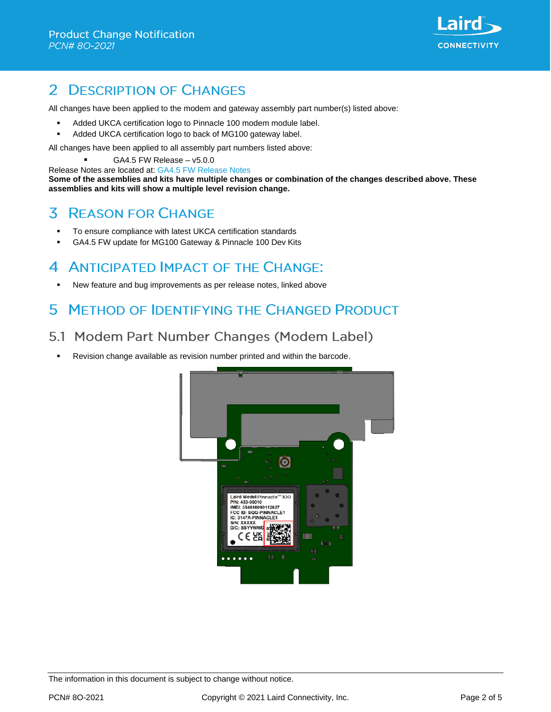

### **DESCRIPTION OF CHANGES**  $\mathcal{P}$

All changes have been applied to the modem and gateway assembly part number(s) listed above:

- Added UKCA certification logo to Pinnacle 100 modem module label.
- Added UKCA certification logo to back of MG100 gateway label.

All changes have been applied to all assembly part numbers listed above:

▪ GA4.5 FW Release – v5.0.0

Release Notes are located at: [GA4.5 FW Release Notes](https://www.lairdconnect.com/documentation/release-notes-mg100-and-pinnacle100-v500)

**Some of the assemblies and kits have multiple changes or combination of the changes described above. These assemblies and kits will show a multiple level revision change.**

#### 3 **REASON FOR CHANGE**

- To ensure compliance with latest UKCA certification standards
- GA4.5 FW update for MG100 Gateway & Pinnacle 100 Dev Kits

### 4 **ANTICIPATED IMPACT OF THE CHANGE:**

New feature and bug improvements as per release notes, linked above

### **METHOD OF IDENTIFYING THE CHANGED PRODUCT** 5

### 5.1 Modem Part Number Changes (Modem Label)

Revision change available as revision number printed and within the barcode.

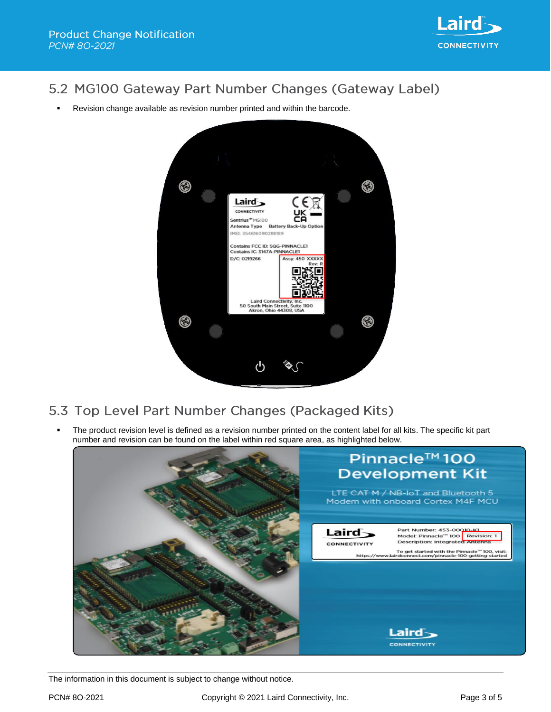

### 5.2 MG100 Gateway Part Number Changes (Gateway Label)

Revision change available as revision number printed and within the barcode.



## 5.3 Top Level Part Number Changes (Packaged Kits)

The product revision level is defined as a revision number printed on the content label for all kits. The specific kit part number and revision can be found on the label within red square area, as highlighted below.

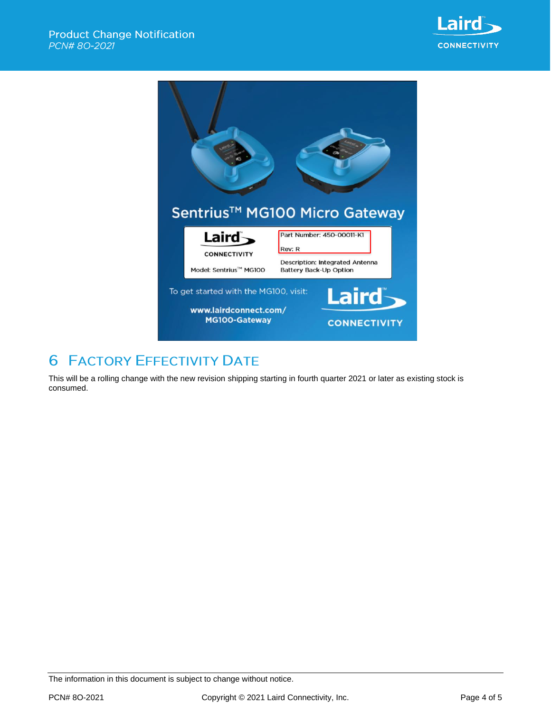



# **6 FACTORY EFFECTIVITY DATE**

This will be a rolling change with the new revision shipping starting in fourth quarter 2021 or later as existing stock is consumed.